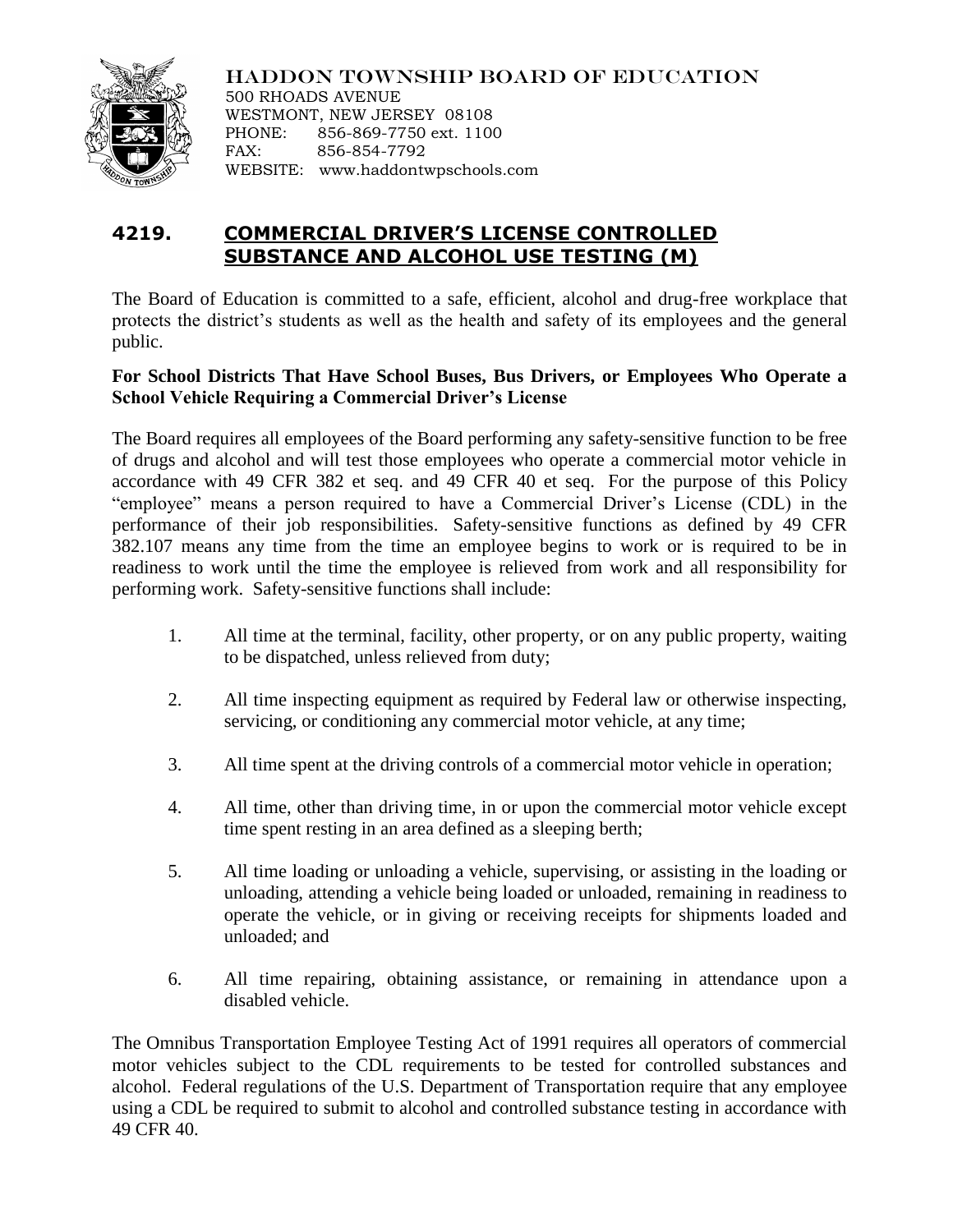

HADDON TOWNSHIP BOARD OF EDUCATION 500 RHOADS AVENUE WESTMONT, NEW JERSEY 08108 PHONE: 856-869-7750 ext. 1100 FAX: 856-854-7792 WEBSITE: www.haddontwpschools.com

# **4219. COMMERCIAL DRIVER'S LICENSE CONTROLLED SUBSTANCE AND ALCOHOL USE TESTING (M)**

The Board of Education is committed to a safe, efficient, alcohol and drug-free workplace that protects the district's students as well as the health and safety of its employees and the general public.

## **For School Districts That Have School Buses, Bus Drivers, or Employees Who Operate a School Vehicle Requiring a Commercial Driver's License**

The Board requires all employees of the Board performing any safety-sensitive function to be free of drugs and alcohol and will test those employees who operate a commercial motor vehicle in accordance with 49 CFR 382 et seq. and 49 CFR 40 et seq. For the purpose of this Policy "employee" means a person required to have a Commercial Driver's License (CDL) in the performance of their job responsibilities. Safety-sensitive functions as defined by 49 CFR 382.107 means any time from the time an employee begins to work or is required to be in readiness to work until the time the employee is relieved from work and all responsibility for performing work. Safety-sensitive functions shall include:

- 1. All time at the terminal, facility, other property, or on any public property, waiting to be dispatched, unless relieved from duty;
- 2. All time inspecting equipment as required by Federal law or otherwise inspecting, servicing, or conditioning any commercial motor vehicle, at any time;
- 3. All time spent at the driving controls of a commercial motor vehicle in operation;
- 4. All time, other than driving time, in or upon the commercial motor vehicle except time spent resting in an area defined as a sleeping berth;
- 5. All time loading or unloading a vehicle, supervising, or assisting in the loading or unloading, attending a vehicle being loaded or unloaded, remaining in readiness to operate the vehicle, or in giving or receiving receipts for shipments loaded and unloaded; and
- 6. All time repairing, obtaining assistance, or remaining in attendance upon a disabled vehicle.

The Omnibus Transportation Employee Testing Act of 1991 requires all operators of commercial motor vehicles subject to the CDL requirements to be tested for controlled substances and alcohol. Federal regulations of the U.S. Department of Transportation require that any employee using a CDL be required to submit to alcohol and controlled substance testing in accordance with 49 CFR 40.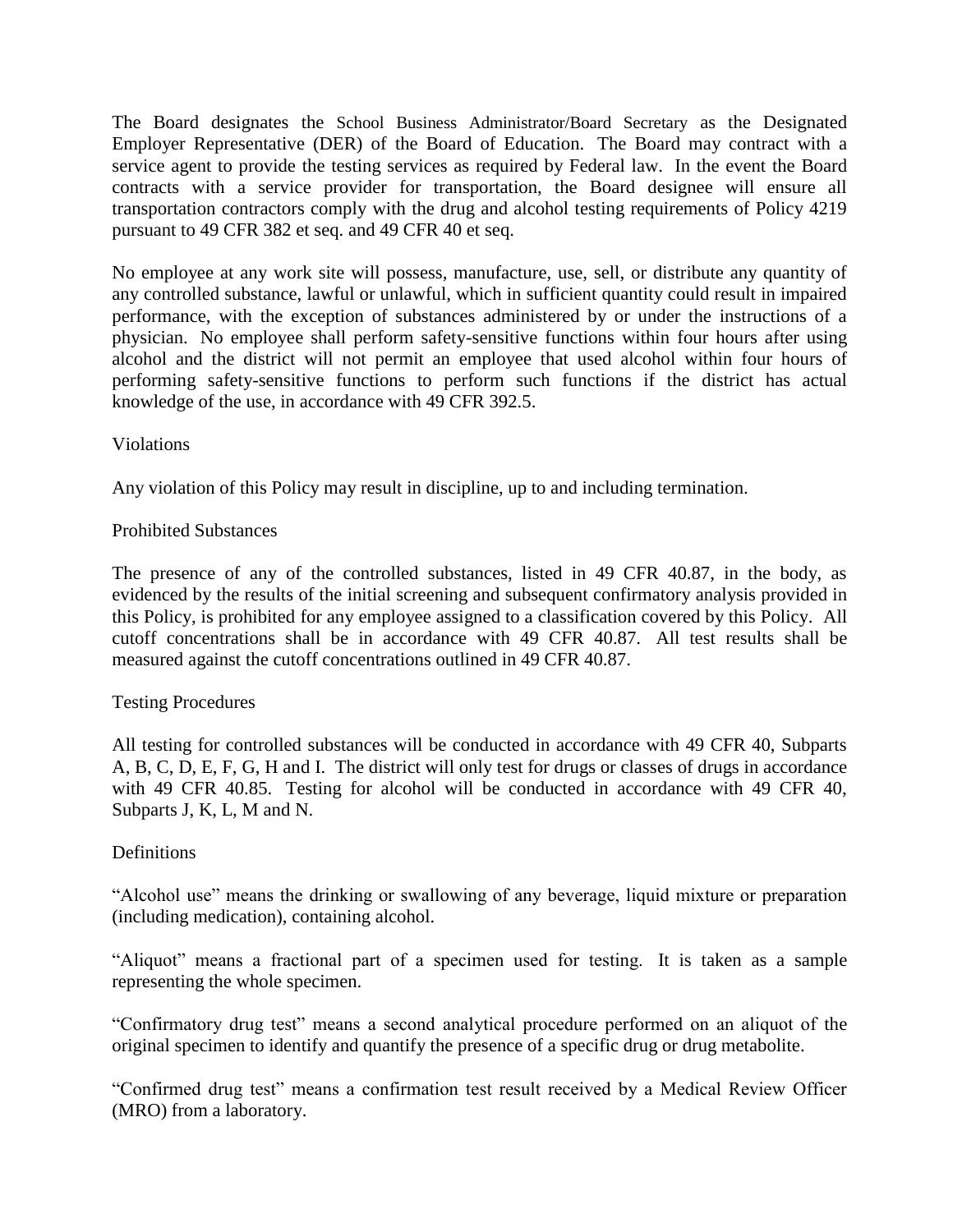The Board designates the School Business Administrator/Board Secretary as the Designated Employer Representative (DER) of the Board of Education. The Board may contract with a service agent to provide the testing services as required by Federal law. In the event the Board contracts with a service provider for transportation, the Board designee will ensure all transportation contractors comply with the drug and alcohol testing requirements of Policy 4219 pursuant to 49 CFR 382 et seq. and 49 CFR 40 et seq.

No employee at any work site will possess, manufacture, use, sell, or distribute any quantity of any controlled substance, lawful or unlawful, which in sufficient quantity could result in impaired performance, with the exception of substances administered by or under the instructions of a physician. No employee shall perform safety-sensitive functions within four hours after using alcohol and the district will not permit an employee that used alcohol within four hours of performing safety-sensitive functions to perform such functions if the district has actual knowledge of the use, in accordance with 49 CFR 392.5.

Violations

Any violation of this Policy may result in discipline, up to and including termination.

## Prohibited Substances

The presence of any of the controlled substances, listed in 49 CFR 40.87, in the body, as evidenced by the results of the initial screening and subsequent confirmatory analysis provided in this Policy, is prohibited for any employee assigned to a classification covered by this Policy. All cutoff concentrations shall be in accordance with 49 CFR 40.87. All test results shall be measured against the cutoff concentrations outlined in 49 CFR 40.87.

### Testing Procedures

All testing for controlled substances will be conducted in accordance with 49 CFR 40, Subparts A, B, C, D, E, F, G, H and I. The district will only test for drugs or classes of drugs in accordance with 49 CFR 40.85. Testing for alcohol will be conducted in accordance with 49 CFR 40, Subparts J, K, L, M and N.

### **Definitions**

"Alcohol use" means the drinking or swallowing of any beverage, liquid mixture or preparation (including medication), containing alcohol.

"Aliquot" means a fractional part of a specimen used for testing. It is taken as a sample representing the whole specimen.

"Confirmatory drug test" means a second analytical procedure performed on an aliquot of the original specimen to identify and quantify the presence of a specific drug or drug metabolite.

"Confirmed drug test" means a confirmation test result received by a Medical Review Officer (MRO) from a laboratory.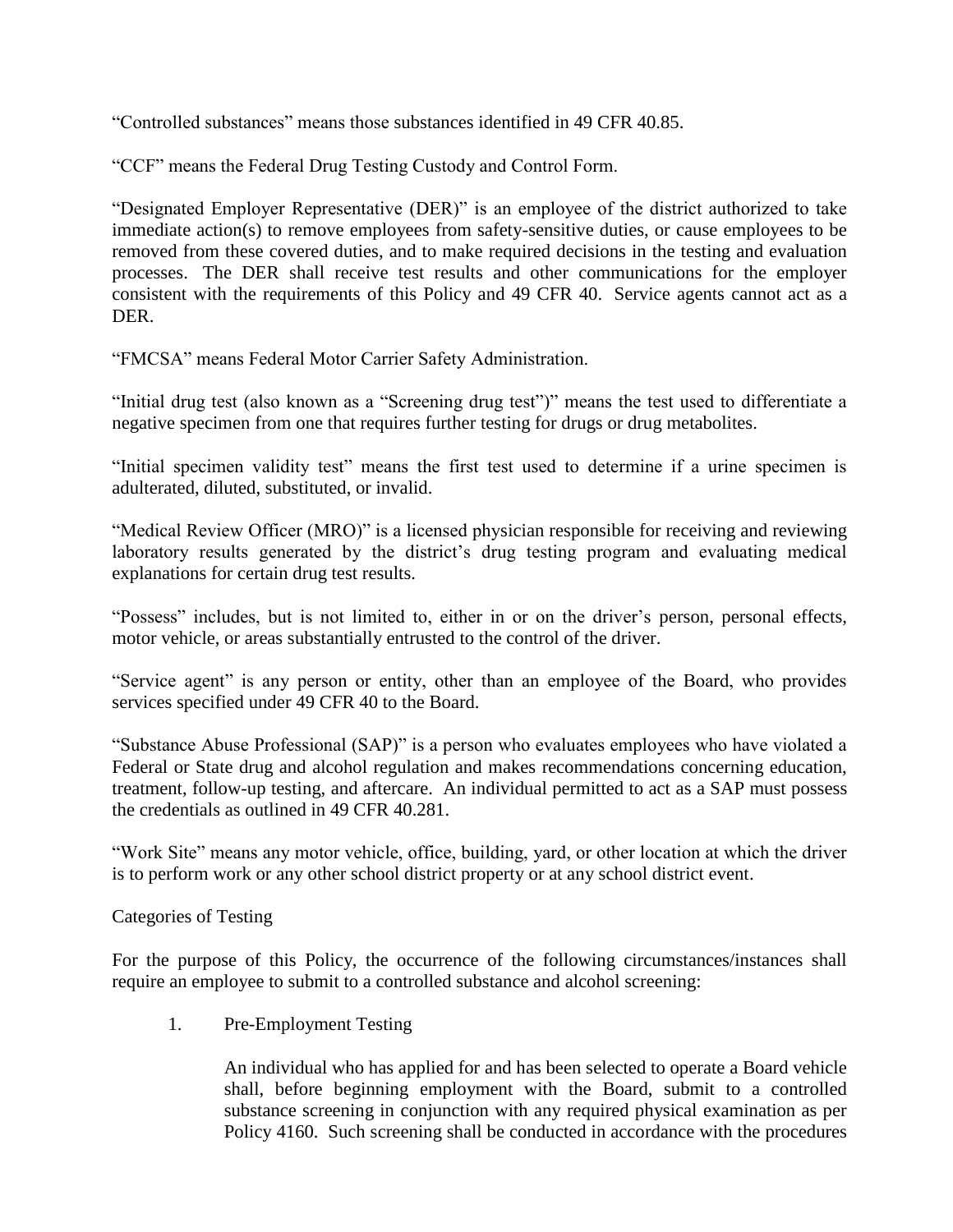"Controlled substances" means those substances identified in 49 CFR 40.85.

"CCF" means the Federal Drug Testing Custody and Control Form.

"Designated Employer Representative (DER)" is an employee of the district authorized to take immediate action(s) to remove employees from safety-sensitive duties, or cause employees to be removed from these covered duties, and to make required decisions in the testing and evaluation processes. The DER shall receive test results and other communications for the employer consistent with the requirements of this Policy and 49 CFR 40. Service agents cannot act as a DER.

"FMCSA" means Federal Motor Carrier Safety Administration.

"Initial drug test (also known as a "Screening drug test")" means the test used to differentiate a negative specimen from one that requires further testing for drugs or drug metabolites.

"Initial specimen validity test" means the first test used to determine if a urine specimen is adulterated, diluted, substituted, or invalid.

"Medical Review Officer (MRO)" is a licensed physician responsible for receiving and reviewing laboratory results generated by the district's drug testing program and evaluating medical explanations for certain drug test results.

"Possess" includes, but is not limited to, either in or on the driver's person, personal effects, motor vehicle, or areas substantially entrusted to the control of the driver.

"Service agent" is any person or entity, other than an employee of the Board, who provides services specified under 49 CFR 40 to the Board.

"Substance Abuse Professional (SAP)" is a person who evaluates employees who have violated a Federal or State drug and alcohol regulation and makes recommendations concerning education, treatment, follow-up testing, and aftercare. An individual permitted to act as a SAP must possess the credentials as outlined in 49 CFR 40.281.

"Work Site" means any motor vehicle, office, building, yard, or other location at which the driver is to perform work or any other school district property or at any school district event.

Categories of Testing

For the purpose of this Policy, the occurrence of the following circumstances/instances shall require an employee to submit to a controlled substance and alcohol screening:

1. Pre-Employment Testing

An individual who has applied for and has been selected to operate a Board vehicle shall, before beginning employment with the Board, submit to a controlled substance screening in conjunction with any required physical examination as per Policy 4160. Such screening shall be conducted in accordance with the procedures